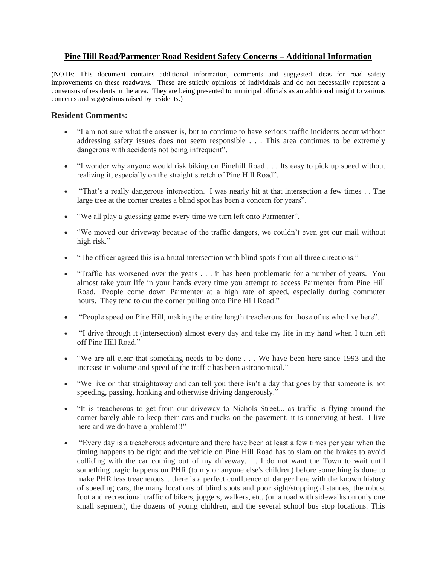## **Pine Hill Road/Parmenter Road Resident Safety Concerns – Additional Information**

(NOTE: This document contains additional information, comments and suggested ideas for road safety improvements on these roadways. These are strictly opinions of individuals and do not necessarily represent a consensus of residents in the area. They are being presented to municipal officials as an additional insight to various concerns and suggestions raised by residents.)

## **Resident Comments:**

- "I am not sure what the answer is, but to continue to have serious traffic incidents occur without addressing safety issues does not seem responsible . . . This area continues to be extremely dangerous with accidents not being infrequent".
- "I wonder why anyone would risk biking on Pinehill Road . . . Its easy to pick up speed without realizing it, especially on the straight stretch of Pine Hill Road".
- "That's a really dangerous intersection. I was nearly hit at that intersection a few times . . The large tree at the corner creates a blind spot has been a concern for years".
- "We all play a guessing game every time we turn left onto Parmenter".
- "We moved our driveway because of the traffic dangers, we couldn't even get our mail without high risk."
- "The officer agreed this is a brutal intersection with blind spots from all three directions."
- "Traffic has worsened over the years . . . it has been problematic for a number of years. You almost take your life in your hands every time you attempt to access Parmenter from Pine Hill Road. People come down Parmenter at a high rate of speed, especially during commuter hours. They tend to cut the corner pulling onto Pine Hill Road."
- "People speed on Pine Hill, making the entire length treacherous for those of us who live here".
- "I drive through it (intersection) almost every day and take my life in my hand when I turn left off Pine Hill Road."
- "We are all clear that something needs to be done . . . We have been here since 1993 and the increase in volume and speed of the traffic has been astronomical."
- "We live on that straightaway and can tell you there isn't a day that goes by that someone is not speeding, passing, honking and otherwise driving dangerously."
- "It is treacherous to get from our driveway to Nichols Street... as traffic is flying around the corner barely able to keep their cars and trucks on the pavement, it is unnerving at best. I live here and we do have a problem!!!"
- "Every day is a treacherous adventure and there have been at least a few times per year when the timing happens to be right and the vehicle on Pine Hill Road has to slam on the brakes to avoid colliding with the car coming out of my driveway. . . I do not want the Town to wait until something tragic happens on PHR (to my or anyone else's children) before something is done to make PHR less treacherous... there is a perfect confluence of danger here with the known history of speeding cars, the many locations of blind spots and poor sight/stopping distances, the robust foot and recreational traffic of bikers, joggers, walkers, etc. (on a road with sidewalks on only one small segment), the dozens of young children, and the several school bus stop locations. This